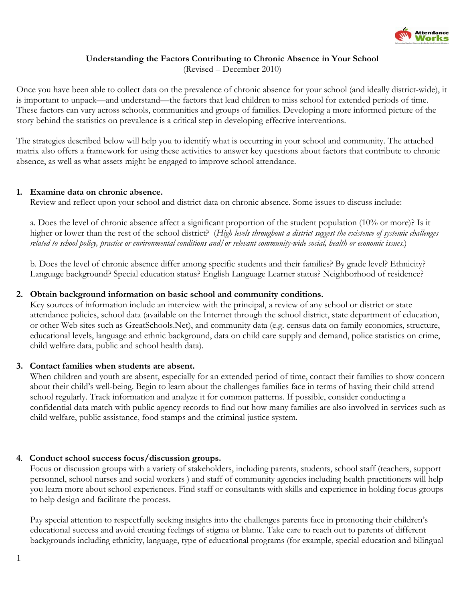

### **Understanding the Factors Contributing to Chronic Absence in Your School**

(Revised – December 2010)

Once you have been able to collect data on the prevalence of chronic absence for your school (and ideally district-wide), it is important to unpack—and understand—the factors that lead children to miss school for extended periods of time. These factors can vary across schools, communities and groups of families. Developing a more informed picture of the story behind the statistics on prevalence is a critical step in developing effective interventions.

The strategies described below will help you to identify what is occurring in your school and community. The attached matrix also offers a framework for using these activities to answer key questions about factors that contribute to chronic absence, as well as what assets might be engaged to improve school attendance.

#### **1. Examine data on chronic absence.**

Review and reflect upon your school and district data on chronic absence. Some issues to discuss include:

a. Does the level of chronic absence affect a significant proportion of the student population (10% or more)? Is it higher or lower than the rest of the school district? (*High levels throughout a district suggest the existence of systemic challenges related to school policy, practice or environmental conditions and/or relevant community-wide social, health or economic issues*.)

b. Does the level of chronic absence differ among specific students and their families? By grade level? Ethnicity? Language background? Special education status? English Language Learner status? Neighborhood of residence?

#### **2. Obtain background information on basic school and community conditions.**

Key sources of information include an interview with the principal, a review of any school or district or state attendance policies, school data (available on the Internet through the school district, state department of education, or other Web sites such as GreatSchools.Net), and community data (e.g. census data on family economics, structure, educational levels, language and ethnic background, data on child care supply and demand, police statistics on crime, child welfare data, public and school health data).

#### **3. Contact families when students are absent.**

When children and youth are absent, especially for an extended period of time, contact their families to show concern about their child's well-being. Begin to learn about the challenges families face in terms of having their child attend school regularly. Track information and analyze it for common patterns. If possible, consider conducting a confidential data match with public agency records to find out how many families are also involved in services such as child welfare, public assistance, food stamps and the criminal justice system.

## **4**. **Conduct school success focus/discussion groups.**

Focus or discussion groups with a variety of stakeholders, including parents, students, school staff (teachers, support personnel, school nurses and social workers ) and staff of community agencies including health practitioners will help you learn more about school experiences. Find staff or consultants with skills and experience in holding focus groups to help design and facilitate the process.

Pay special attention to respectfully seeking insights into the challenges parents face in promoting their children's educational success and avoid creating feelings of stigma or blame. Take care to reach out to parents of different backgrounds including ethnicity, language, type of educational programs (for example, special education and bilingual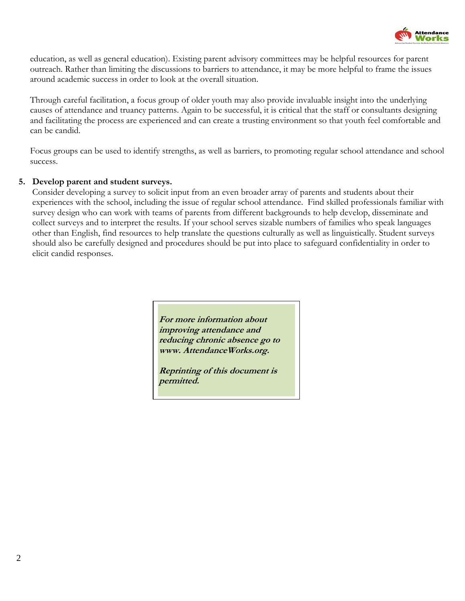

education, as well as general education). Existing parent advisory committees may be helpful resources for parent outreach. Rather than limiting the discussions to barriers to attendance, it may be more helpful to frame the issues around academic success in order to look at the overall situation.

Through careful facilitation, a focus group of older youth may also provide invaluable insight into the underlying causes of attendance and truancy patterns. Again to be successful, it is critical that the staff or consultants designing and facilitating the process are experienced and can create a trusting environment so that youth feel comfortable and can be candid.

Focus groups can be used to identify strengths, as well as barriers, to promoting regular school attendance and school success.

#### **5. Develop parent and student surveys.**

Consider developing a survey to solicit input from an even broader array of parents and students about their experiences with the school, including the issue of regular school attendance. Find skilled professionals familiar with survey design who can work with teams of parents from different backgrounds to help develop, disseminate and collect surveys and to interpret the results. If your school serves sizable numbers of families who speak languages other than English, find resources to help translate the questions culturally as well as linguistically. Student surveys should also be carefully designed and procedures should be put into place to safeguard confidentiality in order to elicit candid responses.

> **For more information about improving attendance and reducing chronic absence go to www. AttendanceWorks.org.**

**Reprinting of this document is permitted.**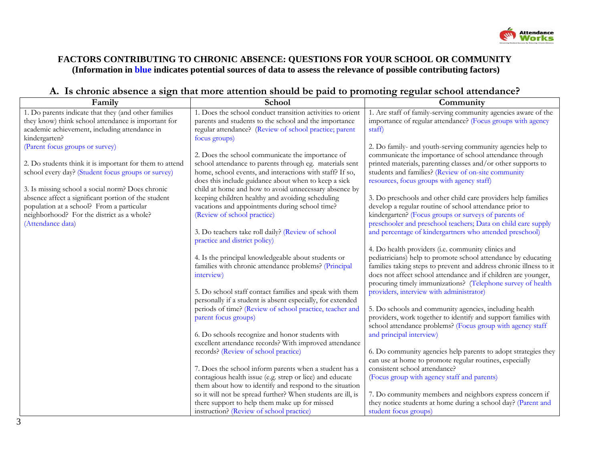

## **FACTORS CONTRIBUTING TO CHRONIC ABSENCE: QUESTIONS FOR YOUR SCHOOL OR COMMUNITY (Information in blue indicates potential sources of data to assess the relevance of possible contributing factors)**

# **A. Is chronic absence a sign that more attention should be paid to promoting regular school attendance?**

| Family                                                                                                      | The to chronic aboence a sign may more attention should be paid to promoting regular sensor attendance.<br>School | Community                                                                                                                     |
|-------------------------------------------------------------------------------------------------------------|-------------------------------------------------------------------------------------------------------------------|-------------------------------------------------------------------------------------------------------------------------------|
|                                                                                                             | 1. Does the school conduct transition activities to orient                                                        |                                                                                                                               |
| 1. Do parents indicate that they (and other families<br>they know) think school attendance is important for |                                                                                                                   | 1. Are staff of family-serving community agencies aware of the<br>importance of regular attendance? (Focus groups with agency |
|                                                                                                             | parents and students to the school and the importance                                                             |                                                                                                                               |
| academic achievement, including attendance in                                                               | regular attendance? (Review of school practice; parent                                                            | staff)                                                                                                                        |
| kindergarten?                                                                                               | focus groups)                                                                                                     |                                                                                                                               |
| (Parent focus groups or survey)                                                                             |                                                                                                                   | 2. Do family- and youth-serving community agencies help to                                                                    |
|                                                                                                             | 2. Does the school communicate the importance of                                                                  | communicate the importance of school attendance through                                                                       |
| 2. Do students think it is important for them to attend                                                     | school attendance to parents through eg. materials sent                                                           | printed materials, parenting classes and/or other supports to                                                                 |
| school every day? (Student focus groups or survey)                                                          | home, school events, and interactions with staff? If so,                                                          | students and families? (Review of on-site community                                                                           |
|                                                                                                             | does this include guidance about when to keep a sick                                                              | resources, focus groups with agency staff)                                                                                    |
| 3. Is missing school a social norm? Does chronic                                                            | child at home and how to avoid unnecessary absence by                                                             |                                                                                                                               |
| absence affect a significant portion of the student                                                         | keeping children healthy and avoiding scheduling                                                                  | 3. Do preschools and other child care providers help families                                                                 |
| population at a school? From a particular                                                                   | vacations and appointments during school time?                                                                    | develop a regular routine of school attendance prior to                                                                       |
| neighborhood? For the district as a whole?                                                                  | (Review of school practice)                                                                                       | kindergarten? (Focus groups or surveys of parents of                                                                          |
| (Attendance data)                                                                                           |                                                                                                                   | preschooler and preschool teachers; Data on child care supply                                                                 |
|                                                                                                             | 3. Do teachers take roll daily? (Review of school                                                                 | and percentage of kindergartners who attended preschool)                                                                      |
|                                                                                                             | practice and district policy)                                                                                     |                                                                                                                               |
|                                                                                                             |                                                                                                                   | 4. Do health providers (i.e. community clinics and                                                                            |
|                                                                                                             | 4. Is the principal knowledgeable about students or                                                               | pediatricians) help to promote school attendance by educating                                                                 |
|                                                                                                             | families with chronic attendance problems? (Principal                                                             | families taking steps to prevent and address chronic illness to it                                                            |
|                                                                                                             | interview)                                                                                                        | does not affect school attendance and if children are younger,                                                                |
|                                                                                                             |                                                                                                                   | procuring timely immunizations? (Telephone survey of health                                                                   |
|                                                                                                             | 5. Do school staff contact families and speak with them                                                           | providers, interview with administrator)                                                                                      |
|                                                                                                             | personally if a student is absent especially, for extended                                                        |                                                                                                                               |
|                                                                                                             | periods of time? (Review of school practice, teacher and                                                          | 5. Do schools and community agencies, including health                                                                        |
|                                                                                                             | parent focus groups)                                                                                              | providers, work together to identify and support families with                                                                |
|                                                                                                             |                                                                                                                   | school attendance problems? (Focus group with agency staff                                                                    |
|                                                                                                             | 6. Do schools recognize and honor students with                                                                   | and principal interview)                                                                                                      |
|                                                                                                             | excellent attendance records? With improved attendance                                                            |                                                                                                                               |
|                                                                                                             | records? (Review of school practice)                                                                              | 6. Do community agencies help parents to adopt strategies they                                                                |
|                                                                                                             |                                                                                                                   | can use at home to promote regular routines, especially                                                                       |
|                                                                                                             | 7. Does the school inform parents when a student has a                                                            | consistent school attendance?                                                                                                 |
|                                                                                                             | contagious health issue (e.g. strep or lice) and educate                                                          | (Focus group with agency staff and parents)                                                                                   |
|                                                                                                             | them about how to identify and respond to the situation                                                           |                                                                                                                               |
|                                                                                                             | so it will not be spread further? When students are ill, is                                                       | 7. Do community members and neighbors express concern if                                                                      |
|                                                                                                             | there support to help them make up for missed                                                                     | they notice students at home during a school day? (Parent and                                                                 |
|                                                                                                             | instruction? (Review of school practice)                                                                          | student focus groups)                                                                                                         |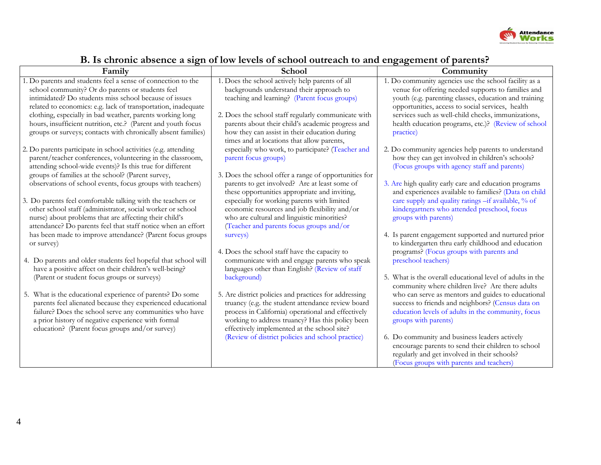

| Family                                                                                                                    | School                                                                                             | Community                                                                                                    |
|---------------------------------------------------------------------------------------------------------------------------|----------------------------------------------------------------------------------------------------|--------------------------------------------------------------------------------------------------------------|
| I. Do parents and students feel a sense of connection to the                                                              | 1. Does the school actively help parents of all                                                    | 1. Do community agencies use the school facility as a                                                        |
| school community? Or do parents or students feel<br>intimidated? Do students miss school because of issues                | backgrounds understand their approach to<br>teaching and learning? (Parent focus groups)           | venue for offering needed supports to families and<br>youth (e.g. parenting classes, education and training  |
| related to economics: e.g. lack of transportation, inadequate                                                             |                                                                                                    | opportunities, access to social services, health                                                             |
| clothing, especially in bad weather, parents working long<br>hours, insufficient nutrition, etc.? (Parent and youth focus | 2. Does the school staff regularly communicate with                                                | services such as well-child checks, immunizations,                                                           |
| groups or surveys; contacts with chronically absent families)                                                             | parents about their child's academic progress and<br>how they can assist in their education during | health education programs, etc.)? (Review of school<br>practice)                                             |
|                                                                                                                           | times and at locations that allow parents,                                                         |                                                                                                              |
| 2. Do parents participate in school activities (e.g. attending                                                            | especially who work, to participate? (Teacher and                                                  | 2. Do community agencies help parents to understand                                                          |
| parent/teacher conferences, volunteering in the classroom,<br>attending school-wide events)? Is this true for different   | parent focus groups)                                                                               | how they can get involved in children's schools?<br>(Focus groups with agency staff and parents)             |
| groups of families at the school? (Parent survey,                                                                         | 3. Does the school offer a range of opportunities for                                              |                                                                                                              |
| observations of school events, focus groups with teachers)                                                                | parents to get involved? Are at least some of                                                      | 3. Are high quality early care and education programs                                                        |
| 3. Do parents feel comfortable talking with the teachers or                                                               | these opportunities appropriate and inviting,<br>especially for working parents with limited       | and experiences available to families? (Data on child<br>care supply and quality ratings -if available, % of |
| other school staff (administrator, social worker or school                                                                | economic resources and job flexibility and/or                                                      | kindergartners who attended preschool, focus                                                                 |
| nurse) about problems that are affecting their child's                                                                    | who are cultural and linguistic minorities?                                                        | groups with parents)                                                                                         |
| attendance? Do parents feel that staff notice when an effort                                                              | (Teacher and parents focus groups and/or                                                           |                                                                                                              |
| has been made to improve attendance? (Parent focus groups                                                                 | surveys)                                                                                           | 4. Is parent engagement supported and nurtured prior                                                         |
| or survey)                                                                                                                |                                                                                                    | to kindergarten thru early childhood and education                                                           |
|                                                                                                                           | 4. Does the school staff have the capacity to                                                      | programs? (Focus groups with parents and                                                                     |
| 4. Do parents and older students feel hopeful that school will<br>have a positive affect on their children's well-being?  | communicate with and engage parents who speak<br>languages other than English? (Review of staff    | preschool teachers)                                                                                          |
| (Parent or student focus groups or surveys)                                                                               | background)                                                                                        | 5. What is the overall educational level of adults in the                                                    |
|                                                                                                                           |                                                                                                    | community where children live? Are there adults                                                              |
| 5. What is the educational experience of parents? Do some                                                                 | 5. Are district policies and practices for addressing                                              | who can serve as mentors and guides to educational                                                           |
| parents feel alienated because they experienced educational                                                               | truancy (e.g. the student attendance review board                                                  | success to friends and neighbors? (Census data on                                                            |
| failure? Does the school serve any communities who have                                                                   | process in California) operational and effectively                                                 | education levels of adults in the community, focus                                                           |
| a prior history of negative experience with formal<br>education? (Parent focus groups and/or survey)                      | working to address truancy? Has this policy been<br>effectively implemented at the school site?    | groups with parents)                                                                                         |
|                                                                                                                           | (Review of district policies and school practice)                                                  | 6. Do community and business leaders actively                                                                |
|                                                                                                                           |                                                                                                    | encourage parents to send their children to school                                                           |
|                                                                                                                           |                                                                                                    | regularly and get involved in their schools?                                                                 |
|                                                                                                                           |                                                                                                    | (Focus groups with parents and teachers)                                                                     |

# **B. Is chronic absence a sign of low levels of school outreach to and engagement of parents?**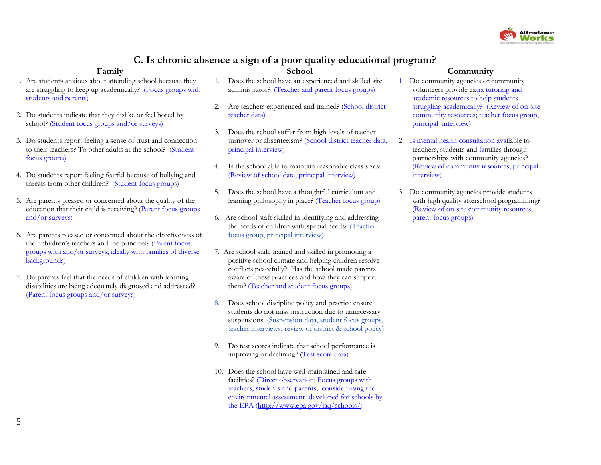

| Does the school have an experienced and skilled site<br>1.<br>administrator? (Teacher and parent focus groups)                                                                                                                    | 1. Do community agencies or community<br>volunteers provide extra tutoring and<br>academic resources to help students                                                                                                                                                                                                                                                                                                                                                                                                                                                                                           |
|-----------------------------------------------------------------------------------------------------------------------------------------------------------------------------------------------------------------------------------|-----------------------------------------------------------------------------------------------------------------------------------------------------------------------------------------------------------------------------------------------------------------------------------------------------------------------------------------------------------------------------------------------------------------------------------------------------------------------------------------------------------------------------------------------------------------------------------------------------------------|
| teacher data)                                                                                                                                                                                                                     | struggling academically? (Review of on-site<br>community resources; teacher focus group,<br>principal interview)                                                                                                                                                                                                                                                                                                                                                                                                                                                                                                |
| turnover or absenteeism? (School district teacher data,<br>principal interview)                                                                                                                                                   | 2. Is mental health consultation available to<br>teachers, students and families through<br>partnerships with community agencies?                                                                                                                                                                                                                                                                                                                                                                                                                                                                               |
| 4.<br>(Review of school data, principal interview)                                                                                                                                                                                | (Review of community resources, principal<br>interview)                                                                                                                                                                                                                                                                                                                                                                                                                                                                                                                                                         |
| learning philosophy in place? (Teacher focus group)                                                                                                                                                                               | 3. Do community agencies provide students<br>with high quality afterschool programming?<br>(Review of on-site community resources;                                                                                                                                                                                                                                                                                                                                                                                                                                                                              |
| the needs of children with special needs? (Teacher<br>focus group, principal interview)                                                                                                                                           | parent focus groups)                                                                                                                                                                                                                                                                                                                                                                                                                                                                                                                                                                                            |
| 7. Are school staff trained and skilled in promoting a<br>positive school climate and helping children resolve                                                                                                                    |                                                                                                                                                                                                                                                                                                                                                                                                                                                                                                                                                                                                                 |
| aware of these practices and how they can support<br>them? (Teacher and student focus groups)                                                                                                                                     |                                                                                                                                                                                                                                                                                                                                                                                                                                                                                                                                                                                                                 |
| Does school discipline policy and practice ensure<br>8.<br>students do not miss instruction due to unnecessary<br>suspensions. (Suspension data, student focus groups,<br>teacher interviews, review of district & school policy) |                                                                                                                                                                                                                                                                                                                                                                                                                                                                                                                                                                                                                 |
| Do test scores indicate that school performance is<br>9.<br>improving or declining? (Test score data)                                                                                                                             |                                                                                                                                                                                                                                                                                                                                                                                                                                                                                                                                                                                                                 |
| 10. Does the school have well-maintained and safe<br>facilities? (Direct observation; Focus groups with<br>teachers, students and parents, consider using the<br>environmental assessment developed for schools by                |                                                                                                                                                                                                                                                                                                                                                                                                                                                                                                                                                                                                                 |
| groups with and/or surveys, ideally with families of diverse                                                                                                                                                                      | are struggling to keep up academically? (Focus groups with<br>Are teachers experienced and trained? (School district<br>2.<br>Does the school suffer from high levels of teacher<br>3.<br>Is the school able to maintain reasonable class sizes?<br>Does the school have a thoughtful curriculum and<br>5.<br>education that their child is receiving? (Parent focus groups<br>Are school staff skilled in identifying and addressing<br>6.<br>6. Are parents pleased or concerned about the effectiveness of<br>conflicts peacefully? Has the school made parents<br>the EPA (http://www.epa.gov/iaq/schools/) |

# **C. Is chronic absence a sign of a poor quality educational program?**